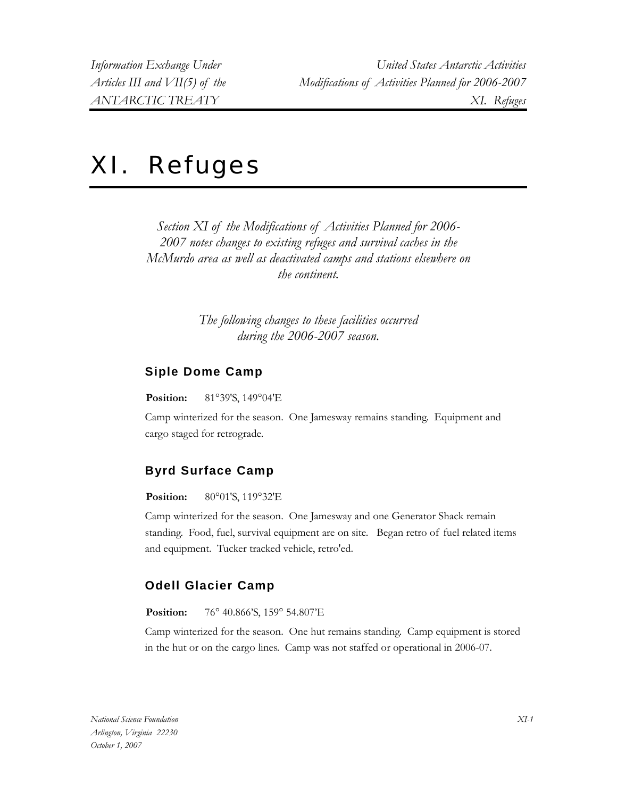# XI. Refuges

*Section XI of the Modifications of Activities Planned for 2006- 2007 notes changes to existing refuges and survival caches in the McMurdo area as well as deactivated camps and stations elsewhere on the continent.* 

> *The following changes to these facilities occurred during the 2006-2007 season.*

#### **Siple Dome Camp**

**Position:** 81°39'S, 149°04'E

Camp winterized for the season. One Jamesway remains standing. Equipment and cargo staged for retrograde.

## **Byrd Surface Camp**

**Position:** 80°01'S, 119°32'E

Camp winterized for the season. One Jamesway and one Generator Shack remain standing. Food, fuel, survival equipment are on site. Began retro of fuel related items and equipment. Tucker tracked vehicle, retro'ed.

## **Odell Glacier Camp**

**Position:** 76° 40.866'S, 159° 54.807'E

Camp winterized for the season. One hut remains standing. Camp equipment is stored in the hut or on the cargo lines. Camp was not staffed or operational in 2006-07.